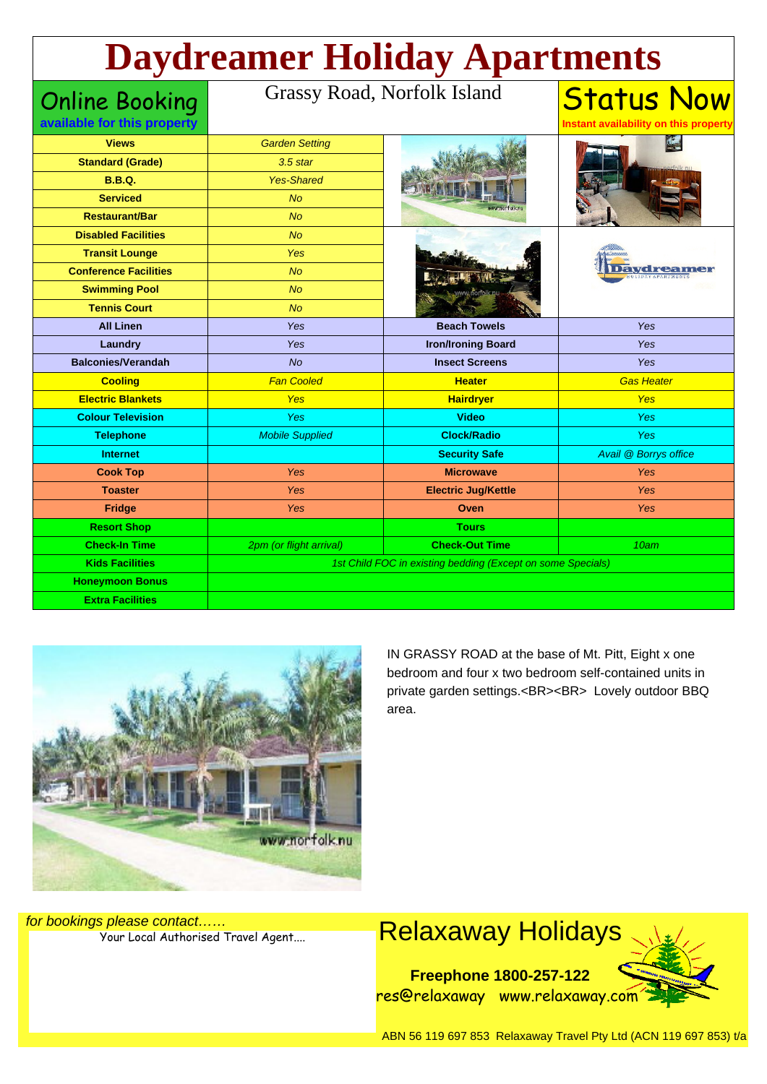# **Daydreamer Holiday Apartments**

Online Booking **available for this property**

#### Grassy Road, Norfolk Island

| <b>Views</b>                 | <b>Garden Setting</b>   |                                                             |                       |  |
|------------------------------|-------------------------|-------------------------------------------------------------|-----------------------|--|
| <b>Standard (Grade)</b>      | $3.5$ star              |                                                             |                       |  |
| <b>B.B.Q.</b>                | <b>Yes-Shared</b>       |                                                             |                       |  |
| <b>Serviced</b>              | <b>No</b>               |                                                             |                       |  |
| <b>Restaurant/Bar</b>        | No                      |                                                             |                       |  |
| <b>Disabled Facilities</b>   | <b>No</b>               |                                                             |                       |  |
| <b>Transit Lounge</b>        | Yes                     |                                                             |                       |  |
| <b>Conference Facilities</b> | <b>No</b>               |                                                             |                       |  |
| <b>Swimming Pool</b>         | <b>No</b>               |                                                             |                       |  |
| <b>Tennis Court</b>          | No                      |                                                             |                       |  |
| <b>All Linen</b>             | Yes                     | <b>Beach Towels</b>                                         | Yes                   |  |
| Laundry                      | Yes                     | <b>Iron/Ironing Board</b>                                   | Yes                   |  |
| <b>Balconies/Verandah</b>    | <b>No</b>               | <b>Insect Screens</b>                                       | <b>Yes</b>            |  |
| <b>Cooling</b>               | <b>Fan Cooled</b>       | <b>Heater</b>                                               | <b>Gas Heater</b>     |  |
| <b>Electric Blankets</b>     | <b>Yes</b>              | <b>Hairdryer</b>                                            | <b>Yes</b>            |  |
| <b>Colour Television</b>     | <b>Yes</b>              | <b>Video</b>                                                | <b>Yes</b>            |  |
| <b>Telephone</b>             | <b>Mobile Supplied</b>  | <b>Clock/Radio</b>                                          | Yes                   |  |
| <b>Internet</b>              |                         | <b>Security Safe</b>                                        | Avail @ Borrys office |  |
| <b>Cook Top</b>              | Yes                     | <b>Microwave</b>                                            | Yes                   |  |
| <b>Toaster</b>               | Yes                     | <b>Electric Jug/Kettle</b>                                  | <b>Yes</b>            |  |
| <b>Fridge</b>                | <b>Yes</b>              | Oven                                                        | Yes                   |  |
| <b>Resort Shop</b>           |                         | <b>Tours</b>                                                |                       |  |
| <b>Check-In Time</b>         | 2pm (or flight arrival) | <b>Check-Out Time</b>                                       | 10am                  |  |
|                              |                         | 1st Child FOC in existing bedding (Except on some Specials) |                       |  |
| <b>Kids Facilities</b>       |                         |                                                             |                       |  |
| <b>Honeymoon Bonus</b>       |                         |                                                             |                       |  |



IN GRASSY ROAD at the base of Mt. Pitt, Eight x one bedroom and four x two bedroom self-contained units in private garden settings.<BR><BR> Lovely outdoor BBQ area.

Status Now **Instant availability on this property**

for bookings please contact……